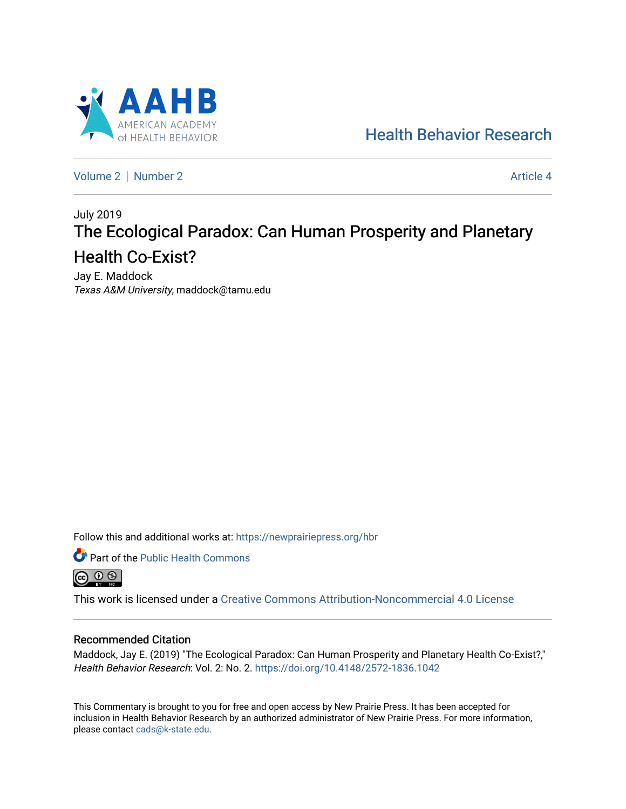

[Health Behavior Research](https://newprairiepress.org/hbr) 

[Volume 2](https://newprairiepress.org/hbr/vol2) | [Number 2](https://newprairiepress.org/hbr/vol2/iss2) Article 4

# July 2019 The Ecological Paradox: Can Human Prosperity and Planetary Health Co-Exist?

Jay E. Maddock Texas A&M University, maddock@tamu.edu

Follow this and additional works at: [https://newprairiepress.org/hbr](https://newprairiepress.org/hbr?utm_source=newprairiepress.org%2Fhbr%2Fvol2%2Fiss2%2F4&utm_medium=PDF&utm_campaign=PDFCoverPages) 



This work is licensed under a [Creative Commons Attribution-Noncommercial 4.0 License](https://creativecommons.org/licenses/by-nc/4.0/)

### Recommended Citation

Maddock, Jay E. (2019) "The Ecological Paradox: Can Human Prosperity and Planetary Health Co-Exist?," Health Behavior Research: Vol. 2: No. 2. <https://doi.org/10.4148/2572-1836.1042>

This Commentary is brought to you for free and open access by New Prairie Press. It has been accepted for inclusion in Health Behavior Research by an authorized administrator of New Prairie Press. For more information, please contact [cads@k-state.edu.](mailto:cads@k-state.edu)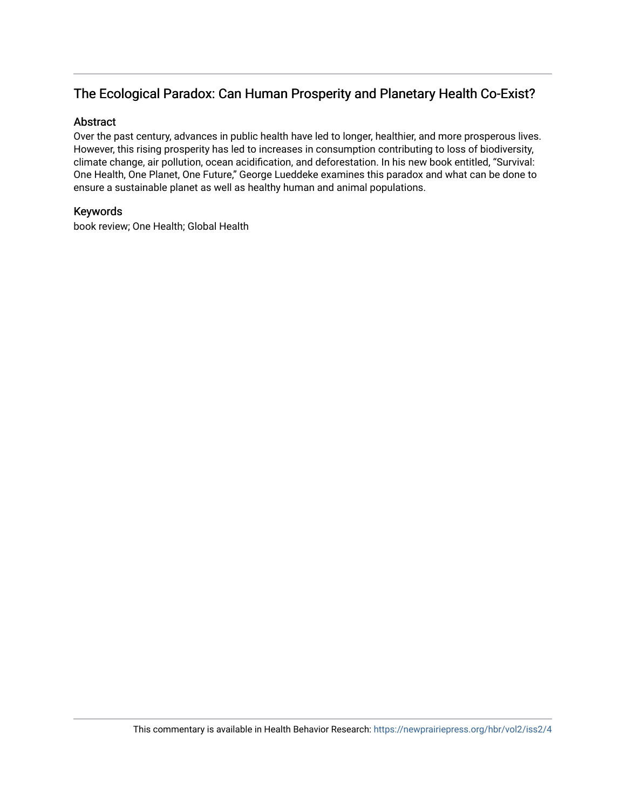## The Ecological Paradox: Can Human Prosperity and Planetary Health Co-Exist?

## Abstract

Over the past century, advances in public health have led to longer, healthier, and more prosperous lives. However, this rising prosperity has led to increases in consumption contributing to loss of biodiversity, climate change, air pollution, ocean acidification, and deforestation. In his new book entitled, "Survival: One Health, One Planet, One Future," George Lueddeke examines this paradox and what can be done to ensure a sustainable planet as well as healthy human and animal populations.

## Keywords

book review; One Health; Global Health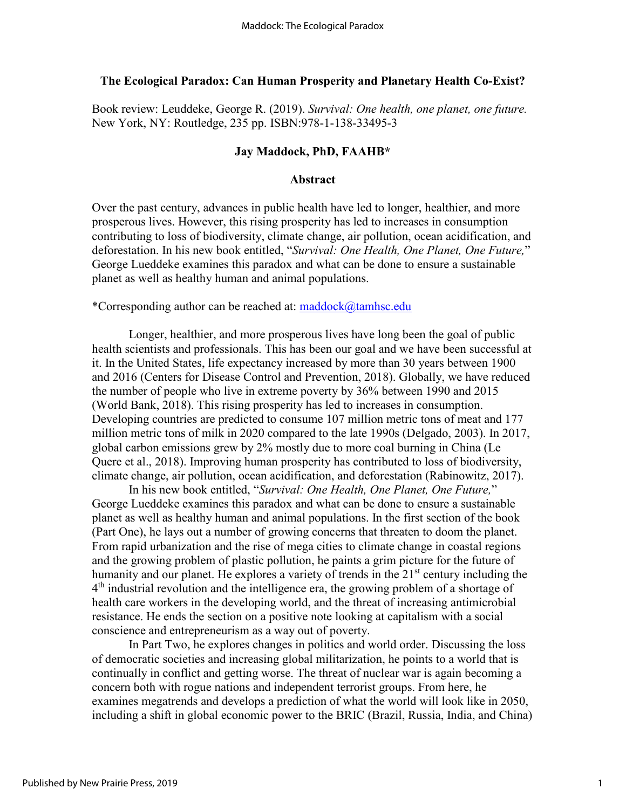## **The Ecological Paradox: Can Human Prosperity and Planetary Health Co-Exist?**

Book review: Leuddeke, George R. (2019). *Survival: One health, one planet, one future.* New York, NY: Routledge, 235 pp. ISBN:978-1-138-33495-3

### **Jay Maddock, PhD, FAAHB\***

## **Abstract**

Over the past century, advances in public health have led to longer, healthier, and more prosperous lives. However, this rising prosperity has led to increases in consumption contributing to loss of biodiversity, climate change, air pollution, ocean acidification, and deforestation. In his new book entitled, "*Survival: One Health, One Planet, One Future,*" George Lueddeke examines this paradox and what can be done to ensure a sustainable planet as well as healthy human and animal populations.

\*Corresponding author can be reached at: [maddock@tamhsc.edu](mailto:maddock@tamhsc.edu)

 Longer, healthier, and more prosperous lives have long been the goal of public health scientists and professionals. This has been our goal and we have been successful at it. In the United States, life expectancy increased by more than 30 years between 1900 and 2016 (Centers for Disease Control and Prevention, 2018). Globally, we have reduced the number of people who live in extreme poverty by 36% between 1990 and 2015 (World Bank, 2018). This rising prosperity has led to increases in consumption. Developing countries are predicted to consume 107 million metric tons of meat and 177 million metric tons of milk in 2020 compared to the late 1990s (Delgado, 2003). In 2017, global carbon emissions grew by 2% mostly due to more coal burning in China (Le Quere et al., 2018). Improving human prosperity has contributed to loss of biodiversity, climate change, air pollution, ocean acidification, and deforestation (Rabinowitz, 2017).

 In his new book entitled, "*Survival: One Health, One Planet, One Future,*" George Lueddeke examines this paradox and what can be done to ensure a sustainable planet as well as healthy human and animal populations. In the first section of the book (Part One), he lays out a number of growing concerns that threaten to doom the planet. From rapid urbanization and the rise of mega cities to climate change in coastal regions and the growing problem of plastic pollution, he paints a grim picture for the future of humanity and our planet. He explores a variety of trends in the 21<sup>st</sup> century including the  $4<sup>th</sup>$  industrial revolution and the intelligence era, the growing problem of a shortage of health care workers in the developing world, and the threat of increasing antimicrobial resistance. He ends the section on a positive note looking at capitalism with a social conscience and entrepreneurism as a way out of poverty.

In Part Two, he explores changes in politics and world order. Discussing the loss of democratic societies and increasing global militarization, he points to a world that is continually in conflict and getting worse. The threat of nuclear war is again becoming a concern both with rogue nations and independent terrorist groups. From here, he examines megatrends and develops a prediction of what the world will look like in 2050, including a shift in global economic power to the BRIC (Brazil, Russia, India, and China)

1